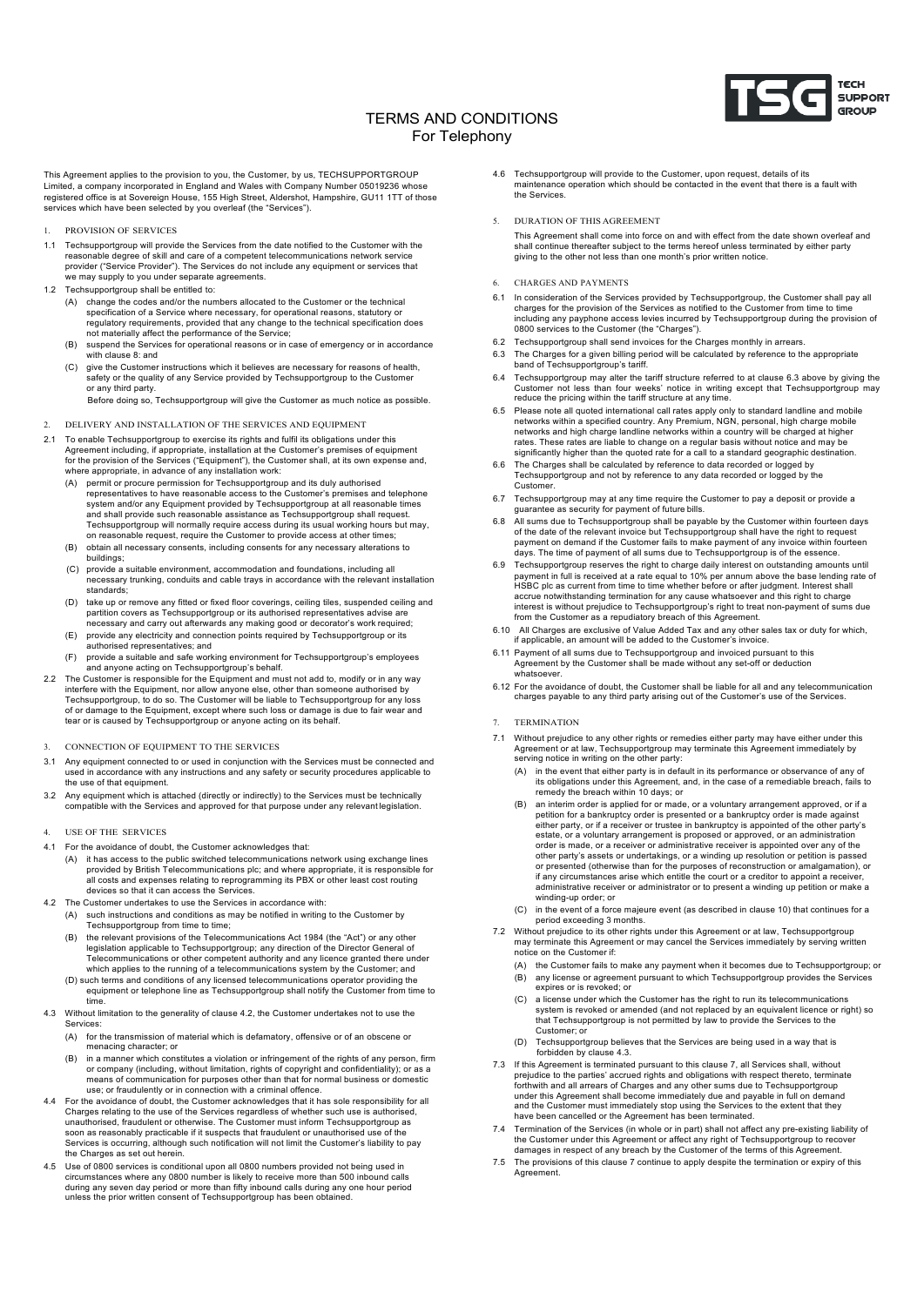

# TERMS AND CONDITIONS For Telephony

This Agreement applies to the provision to you, the Customer, by us, TECHSUPPORTGROUP Limited, a company incorporated in England and Wales with Company Number 05019236 whose registered office is at Sovereign House, 155 High Street, Aldershot, Hampshire, GU11 1TT of those services which have been selected by you overleaf (the "Services").

- 1. PROVISION OF SERVICES
- 1.1 Techsupportgroup will provide the Services from the date notified to the Customer with the reasonable degree of skill and care of a competent telecommunications network service provider ("Service Provider"). The Services do not include any equipment or services that we may supply to you under separate agreements.
- 1.2 Techsupportgroup shall be entitled to:
	- (A) change the codes and/or the numbers allocated to the Customer or the technical specification of a Service where necessary, for operational reasons, statutory or regulatory requirements, provided that any change to the technical specification does not materially affect the performance of the Service;
	- (B) suspend the Services for operational reasons or in case of emergency or in accordance with clause 8: and
	- (C) give the Customer instructions which it believes are necessary for reasons of health, safety or the quality of any Service provided by Techsupportgroup to the Customer or any third party.
		- Before doing so, Techsupportgroup will give the Customer as much notice as possible.
- 2. DELIVERY AND INSTALLATION OF THE SERVICES AND EQUIPMENT
- To enable Techsupportgroup to exercise its rights and fulfil its obligations under this Agreement including, if appropriate, installation at the Customer's premises of equipment for the provision of the Services ("Equipment"), the Customer shall, at its own expense and, where appropriate, in advance of any installation work:
	- (A) permit or procure permission for Techsupportgroup and its duly authorised representatives to have reasonable access to the Customer's premises and telephone system and/or any Equipment provided by Techsupportgroup at all reasonable times and shall provide such reasonable assistance as Techsupportgroup shall request. Techsupportgroup will normally require access during its usual working hours but may,<br>on reasonable request, require the Customer to provide access at other times;
	- (B) obtain all necessary consents, including consents for any necessary alterations to buildings;
	- (C) provide a suitable environment, accommodation and foundations, including all necessary trunking, conduits and cable trays in accordance with the relevant installation standards;
	- D) take up or remove any fitted or fixed floor coverings, ceiling tiles, suspended ceiling and<br>partition covers as Techsupportgroup or its authorised representatives advise are<br>necessary and carry out afterwards any making
	- (E) provide any electricity and connection points required by Techsupportgroup or its authorised representatives; and
- (F) provide a suitable and safe working environment for Techsupportgroup's employees and anyone acting on Techsupportgroup's behalf. 2.2 The Customer is responsible for the Equipment and must not add to, modify or in any way
- interfere with the Equipment, nor allow anyone else, other than someone authorised by Techsupportgroup, to do so. The Customer will be liable to Techsupportgroup for any loss of or damage to the Equipment, except where such loss or damage is due to fair wear and tear or is caused by Techsupportgroup or anyone acting on its behalf.
- 3. CONNECTION OF EQUIPMENT TO THE SERVICES
- 3.1 Any equipment connected to or used in conjunction with the Services must be connected and used in accordance with any instructions and any safety or security procedures applicable to the use of that equipment.
- 3.2 Any equipment which is attached (directly or indirectly) to the Services must be technically compatible with the Services and approved for that purpose under any relevant legislation.
- 4. USE OF THE SERVICES
- 4.1 For the avoidance of doubt, the Customer acknowledges that:
	- (A) it has access to the public switched telecommunications network using exchange lines provided by British Telecommunications plc; and where appropriate, it is responsible for all costs and expenses relating to reprogramming its PBX or other least cost routing devices so that it can access the Services.
- 4.2 The Customer undertakes to use the Services in accordance with:
	- (A) such instructions and conditions as may be notified in writing to the Customer by Techsupportgroup from time to time;
	- (B) the relevant provisions of the Telecommunications Act 1984 (the "Act") or any other legislation applicable to Techsupportgroup; any direction of the Director General of Telecommunications or other competent authority and any licence granted there under which applies to the running of a telecommunications system by the Customer; and (D) such terms and conditions of any licensed telecommunications operator providing the
	- equipment or telephone line as Techsupportgroup shall notify the Customer from time to time.
- 4.3 Without limitation to the generality of clause 4.2, the Customer undertakes not to use the Services:
	- (A) for the transmission of material which is defamatory, offensive or of an obscene or menacing character; or
	- (B) in a manner which constitutes a violation or infringement of the rights of any person, firm or company (including, without limitation, rights of copyright and confidentiality); or as a means of communication for purposes other than that for normal business or domestic use; or fraudulently or in connection with a criminal offence.
- For the avoidance of doubt, the Customer acknowledges that it has sole responsibility for all Charges relating to the use of the Services regardless of whether such use is authorised,<br>unauthorised, fraudulent or otherwise. The Customer must inform Techsupportgroup as<br>soon as reasonably practicable if it suspects th Services is occurring, although such notification will not limit the Customer's liability to pay the Charges as set out herein.
- Use of 0800 services is conditional upon all 0800 numbers provided not being used in circumstances where any 0800 number is likely to receive more than 500 inbound calls<br>during any seven day period or more than fifty inbound calls during any one hour period<br>unless the prior written consent of Techsupportgr
- 4.6 Techsupportgroup will provide to the Customer, upon request, details of its maintenance operation which should be contacted in the event that there is a fault with the Services.
- 5. DURATION OF THIS AGREEMENT
	- This Agreement shall come into force on and with effect from the date shown overleaf and shall continue thereafter subject to the terms hereof unless terminated by either party giving to the other not less than one month's prior written notice.
- 6. CHARGES AND PAYMENTS
- 6.1 In consideration of the Services provided by Techsupportgroup, the Customer shall pay all charges for the provision of the Services as notified to the Customer from time to time including any payphone access levies incurred by Techsupportgroup during the provision of 0800 services to the Customer (the "Charges").
- 6.2 Techsupportgroup shall send invoices for the Charges monthly in arrears.
- 6.3 The Charges for a given billing period will be calculated by reference to the appropriate band of Techsupportgroup's tariff.
- 6.4 Techsupportgroup may alter the tariff structure referred to at clause 6.3 above by giving the Customer not less than four weeks' notice in writing except that Techsupportgroup may reduce the pricing within the tariff structure at any time.
- 6.5 Please note all quoted international call rates apply only to standard landline and mobile<br>networks within a specified country. Any Premium, NGN, personal, high charge mobile<br>networks and high charge landline networks rates. These rates are liable to change on a regular basis without notice and may be significantly higher than the quoted rate for a call to a standard geographic destination.
- 6.6 The Charges shall be calculated by reference to data recorded or logged by Techsupportgroup and not by reference to any data recorded or logged by the Customer.
- 6.7 Techsupportgroup may at any time require the Customer to pay a deposit or provide a guarantee as security for payment of future bills.
- 6.8 All sums due to Techsupportgroup shall be payable by the Customer within fourteen days of the date of the relevant invoice but Techsupportgroup shall have the right to request payment on demand if the Customer fails to make payment of any invoice within fourteen days. The time of payment of all sums due to Techsupportgroup is of the essence.
- Techsupportgroup reserves the right to charge daily interest on outstanding amounts until payment in full is received at a rate equal to 10% per annum above the base lending rate of HSBC plc as current from time to time whether before or after judgment. Interest shall<br>accrue notwithstanding termination for any cause whatsoever and this right to charge<br>interest is without prejudice to Techsupportgroup' from the Customer as a repudiatory breach of this Agreement.
- 6.10 All Charges are exclusive of Value Added Tax and any other sales tax or duty for which, if applicable, an amount will be added to the Customer's invoice.
- 6.11 Payment of all sums due to Techsupportgroup and invoiced pursuant to this Agreement by the Customer shall be made without any set-off or deduction whatsoever.
- 6.12 For the avoidance of doubt, the Customer shall be liable for all and any telecommunication charges payable to any third party arising out of the Customer's use of the Services.
- **TERMINATION**
- 7.1 Without prejudice to any other rights or remedies either party may have either under this Agreement or at law, Techsupportgroup may terminate this Agreement immediately by serving notice in writing on the other party:
	- (A) in the event that either party is in default in its performance or observance of any of its obligations under this Agreement, and, in the case of a remediable breach, fails to remedy the breach within 10 days; or
	- (B) an interim order is applied for or made, or a voluntary arrangement approved, or if a petition for a bankruptcy order is presented or a bankruptcy order is made against either party, or if a receiver or trustee in bankruptcy is appointed of the other party's estate, or a voluntary arrangement is proposed or approved, or an administration order is made, or a receiver or administrative receiver is appointed over any of the other party's assets or undertakings, or a winding up resolution or petition is passed or presented (otherwise than for the purposes of reconstruction or amalgamation), or if any circumstances arise which entitle the court or a creditor to appoint a receiver administrative receiver or administrator or to present a winding up petition or make a winding-up order; or
	- (C) in the event of a force majeure event (as described in clause 10) that continues for a period exceeding 3 months.
- 7.2 Without prejudice to its other rights under this Agreement or at law, Techsupportgroup may terminate this Agreement or may cancel the Services immediately by serving written notice on the Customer if:
	- (A) the Customer fails to make any payment when it becomes due to Techsupportgroup; or (B) any license or agreement pursuant to which Techsupportgroup provides the Services expires or is revoked; or
	- (C) a license under which the Customer has the right to run its telecommunications system is revoked or amended (and not replaced by an equivalent licence or right) so that Techsupportgroup is not permitted by law to provide the Services to the Customer; or
	- (D) Techsupportgroup believes that the Services are being used in a way that is forbidden by clause 4.3.
- 7.3 If this Agreement is terminated pursuant to this clause 7, all Services shall, without prejudice to the parties' accrued rights and obligations with respect thereto, terminate<br>forthwith and all arrears of Charges and any other sums due to Techsupportgroup<br>under this Agreement shall become immediately due and and the Customer must immediately stop using the Services to the extent that they have been cancelled or the Agreement has been terminated.
- 7.4 Termination of the Services (in whole or in part) shall not affect any pre-existing liability of the Customer under this Agreement or affect any right of Techsupportgroup to recover damages in respect of any breach by the Customer of the terms of this Agreement.
- 7.5 The provisions of this clause 7 continue to apply despite the termination or expiry of this Agreement.